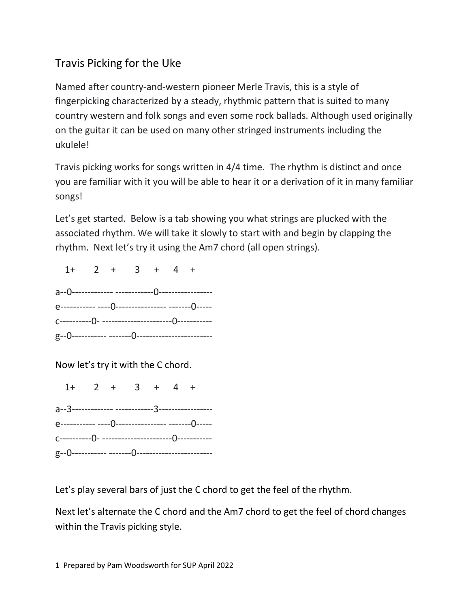## Travis Picking for the Uke

Named after country-and-western pioneer Merle Travis, this is a style of fingerpicking characterized by a steady, rhythmic pattern that is suited to many country western and folk songs and even some rock ballads. Although used originally on the guitar it can be used on many other stringed instruments including the ukulele!

Travis picking works for songs written in 4/4 time. The rhythm is distinct and once you are familiar with it you will be able to hear it or a derivation of it in many familiar songs!

Let's get started. Below is a tab showing you what strings are plucked with the associated rhythm. We will take it slowly to start with and begin by clapping the rhythm. Next let's try it using the Am7 chord (all open strings).

| $1+$ 2 + 3 + 4 + |  |  |  |  |
|------------------|--|--|--|--|
|                  |  |  |  |  |
|                  |  |  |  |  |
|                  |  |  |  |  |
|                  |  |  |  |  |

Now let's try it with the C chord.

 $1+$  2 + 3 + 4 + a--3------------- ------------3---------------- e----------- ----0---------------- -------0---- c----------0- ----------------------0---------- g--0----------- -------0------------------------

Let's play several bars of just the C chord to get the feel of the rhythm.

Next let's alternate the C chord and the Am7 chord to get the feel of chord changes within the Travis picking style.